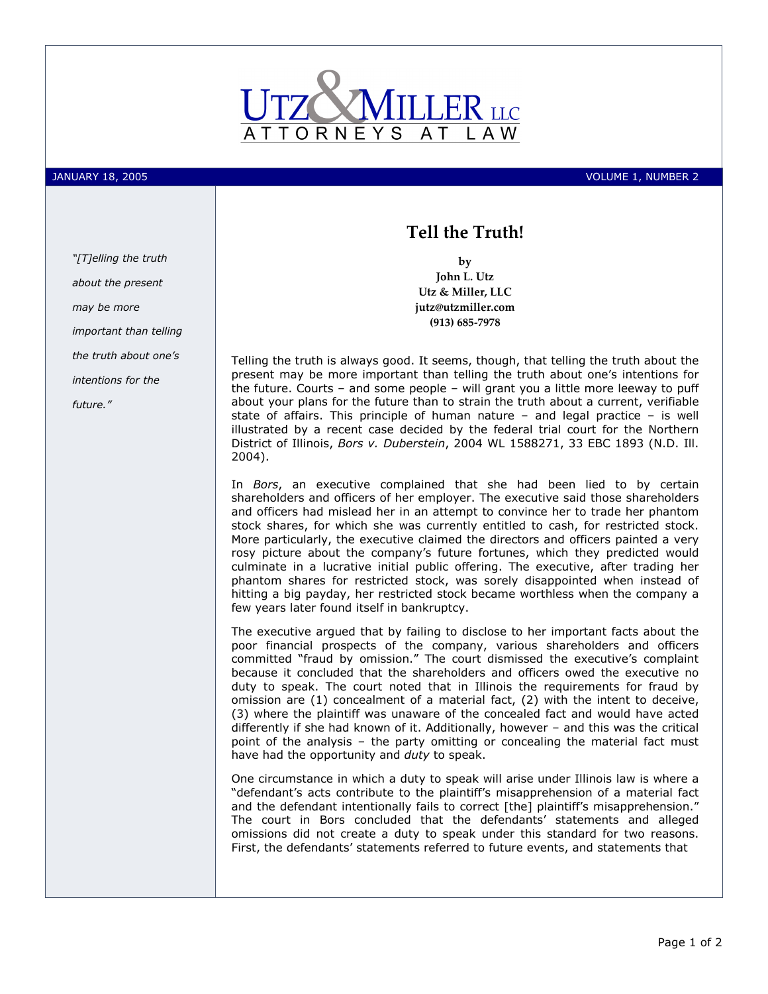

JANUARY 18, 2005 VOLUME 1, NUMBER 2

## Tell the Truth!

by John L. Utz Utz & Miller, LLC jutz@utzmiller.com (913) 685-7978

Telling the truth is always good. It seems, though, that telling the truth about the present may be more important than telling the truth about one's intentions for the future. Courts – and some people – will grant you a little more leeway to puff about your plans for the future than to strain the truth about a current, verifiable state of affairs. This principle of human nature – and legal practice – is well illustrated by a recent case decided by the federal trial court for the Northern District of Illinois, Bors v. Duberstein, 2004 WL 1588271, 33 EBC 1893 (N.D. Ill. 2004).

In Bors, an executive complained that she had been lied to by certain shareholders and officers of her employer. The executive said those shareholders and officers had mislead her in an attempt to convince her to trade her phantom stock shares, for which she was currently entitled to cash, for restricted stock. More particularly, the executive claimed the directors and officers painted a very rosy picture about the company's future fortunes, which they predicted would culminate in a lucrative initial public offering. The executive, after trading her phantom shares for restricted stock, was sorely disappointed when instead of hitting a big payday, her restricted stock became worthless when the company a few years later found itself in bankruptcy.

The executive argued that by failing to disclose to her important facts about the poor financial prospects of the company, various shareholders and officers committed "fraud by omission." The court dismissed the executive's complaint because it concluded that the shareholders and officers owed the executive no duty to speak. The court noted that in Illinois the requirements for fraud by omission are (1) concealment of a material fact, (2) with the intent to deceive, (3) where the plaintiff was unaware of the concealed fact and would have acted differently if she had known of it. Additionally, however – and this was the critical point of the analysis – the party omitting or concealing the material fact must have had the opportunity and *duty* to speak.

One circumstance in which a duty to speak will arise under Illinois law is where a "defendant's acts contribute to the plaintiff's misapprehension of a material fact and the defendant intentionally fails to correct [the] plaintiff's misapprehension." The court in Bors concluded that the defendants' statements and alleged omissions did not create a duty to speak under this standard for two reasons. First, the defendants' statements referred to future events, and statements that

"[T]elling the truth about the present may be more important than telling the truth about one's intentions for the future."